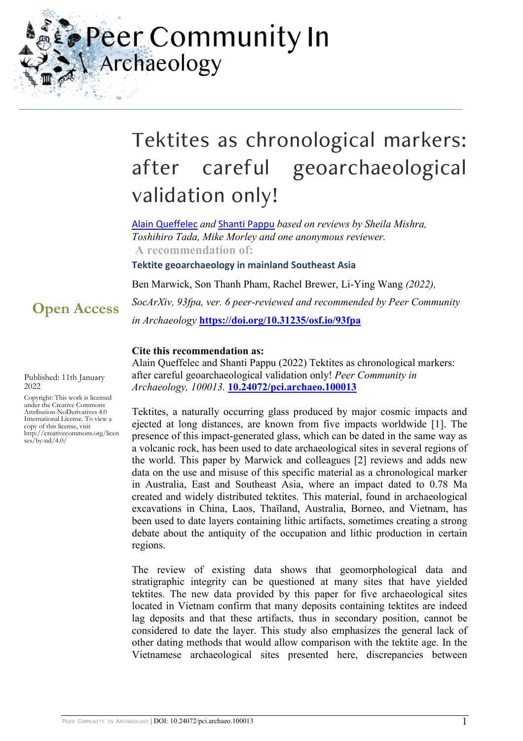Peer Community In Archaeology

# Tektites as chronological markers: after careful geoarchaeological validation only!

[Alain Queffelec](https://archaeo.peercommunityin.org/public/user_public_page?userId=3) *and* [Shanti Pappu](https://archaeo.peercommunityin.org/public/user_public_page?userId=579) *based on reviews by Sheila Mishra, Toshihiro Tada, Mike Morley and one anonymous reviewer.* **A recommendation of:**

**Tektite geoarchaeology in mainland Southeast Asia**

Ben Marwick, Son Thanh Pham, Rachel Brewer, Li-Ying Wang *(2022),* 

*SocArXiv, 93fpa, ver. 6 peer-reviewed and recommended by Peer Community in Archaeology* **<https://doi.org/10.31235/osf.io/93fpa>**

#### **Cite this recommendation as:**

Alain Queffelec and Shanti Pappu (2022) Tektites as chronological markers: after careful geoarchaeological validation only! *Peer Community in Archaeology, 100013.* **[10.24072/pci.archaeo.100013](https://doi.org/10.24072/pci.archaeo.100013)**

Tektites, a naturally occurring glass produced by major cosmic impacts and ejected at long distances, are known from five impacts worldwide [1]. The presence of this impact-generated glass, which can be dated in the same way as a volcanic rock, has been used to date archaeological sites in several regions of the world. This paper by Marwick and colleagues [2] reviews and adds new data on the use and misuse of this specific material as a chronological marker in Australia, East and Southeast Asia, where an impact dated to 0.78 Ma created and widely distributed tektites. This material, found in archaeological excavations in China, Laos, Thaïland, Australia, Borneo, and Vietnam, has been used to date layers containing lithic artifacts, sometimes creating a strong debate about the antiquity of the occupation and lithic production in certain regions.

The review of existing data shows that geomorphological data and stratigraphic integrity can be questioned at many sites that have yielded tektites. The new data provided by this paper for five archaeological sites located in Vietnam confirm that many deposits containing tektites are indeed lag deposits and that these artifacts, thus in secondary position, cannot be considered to date the layer. This study also emphasizes the general lack of other dating methods that would allow comparison with the tektite age. In the Vietnamese archaeological sites presented here, discrepancies between

**Open Access**

Published: 11th January 2022

Copyright: This work is licensed under the Creative Commons Attribution-NoDerivatives 4.0 International License. To view a copy of this license, visit http://creativecommons.org/licen ses/by-nd/4.0/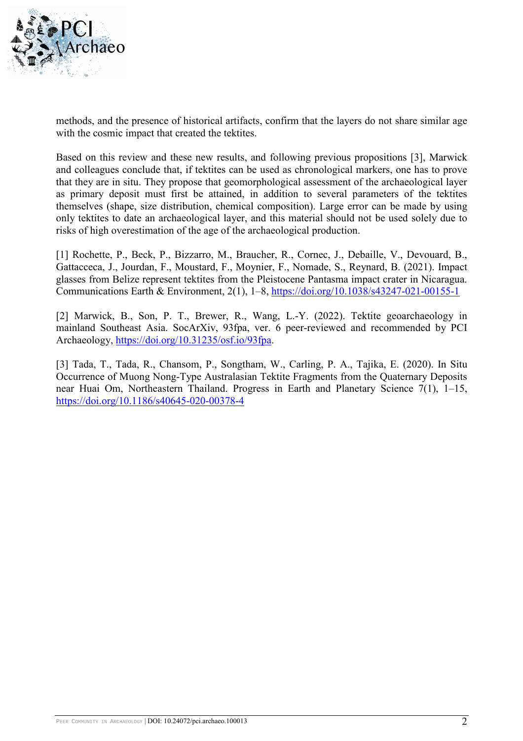

methods, and the presence of historical artifacts, confirm that the layers do not share similar age with the cosmic impact that created the tektites.

Based on this review and these new results, and following previous propositions [3], Marwick and colleagues conclude that, if tektites can be used as chronological markers, one has to prove that they are in situ. They propose that geomorphological assessment of the archaeological layer as primary deposit must first be attained, in addition to several parameters of the tektites themselves (shape, size distribution, chemical composition). Large error can be made by using only tektites to date an archaeological layer, and this material should not be used solely due to risks of high overestimation of the age of the archaeological production.

[1] Rochette, P., Beck, P., Bizzarro, M., Braucher, R., Cornec, J., Debaille, V., Devouard, B., Gattacceca, J., Jourdan, F., Moustard, F., Moynier, F., Nomade, S., Reynard, B. (2021). Impact glasses from Belize represent tektites from the Pleistocene Pantasma impact crater in Nicaragua. Communications Earth & Environment, 2(1), 1–8,<https://doi.org/10.1038/s43247-021-00155-1>

[2] Marwick, B., Son, P. T., Brewer, R., Wang, L.-Y. (2022). Tektite geoarchaeology in mainland Southeast Asia. SocArXiv, 93fpa, ver. 6 peer-reviewed and recommended by PCI Archaeology, [https://doi.org/10.31235/osf.io/93fpa.](https://doi.org/10.31235/osf.io/93fpa)

[3] Tada, T., Tada, R., Chansom, P., Songtham, W., Carling, P. A., Tajika, E. (2020). In Situ Occurrence of Muong Nong-Type Australasian Tektite Fragments from the Quaternary Deposits near Huai Om, Northeastern Thailand. Progress in Earth and Planetary Science 7(1), 1–15, <https://doi.org/10.1186/s40645-020-00378-4>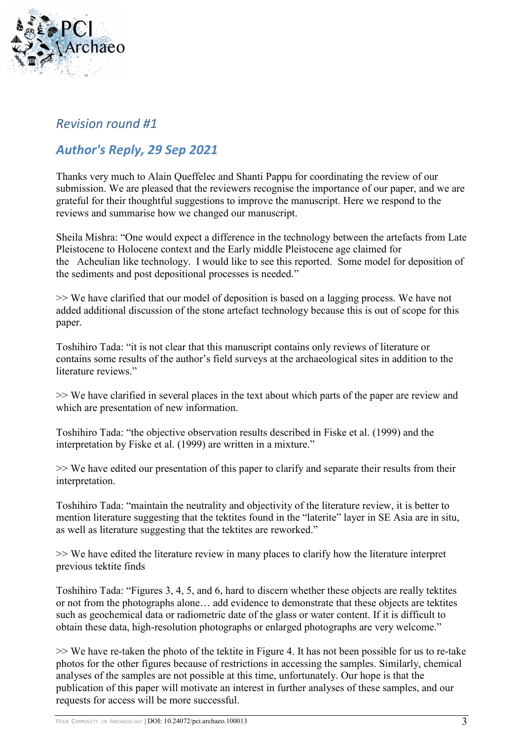

#### *Revision round #1*

### *Author's Reply, 29 Sep 2021*

Thanks very much to Alain Queffelec and Shanti Pappu for coordinating the review of our submission. We are pleased that the reviewers recognise the importance of our paper, and we are grateful for their thoughtful suggestions to improve the manuscript. Here we respond to the reviews and summarise how we changed our manuscript.

Sheila Mishra: "One would expect a difference in the technology between the artefacts from Late Pleistocene to Holocene context and the Early middle Pleistocene age claimed for the Acheulian like technology. I would like to see this reported. Some model for deposition of the sediments and post depositional processes is needed."

>> We have clarified that our model of deposition is based on a lagging process. We have not added additional discussion of the stone artefact technology because this is out of scope for this paper.

Toshihiro Tada: "it is not clear that this manuscript contains only reviews of literature or contains some results of the author's field surveys at the archaeological sites in addition to the literature reviews."

>> We have clarified in several places in the text about which parts of the paper are review and which are presentation of new information.

Toshihiro Tada: "the objective observation results described in Fiske et al. (1999) and the interpretation by Fiske et al. (1999) are written in a mixture."

>> We have edited our presentation of this paper to clarify and separate their results from their interpretation.

Toshihiro Tada: "maintain the neutrality and objectivity of the literature review, it is better to mention literature suggesting that the tektites found in the "laterite" layer in SE Asia are in situ, as well as literature suggesting that the tektites are reworked."

>> We have edited the literature review in many places to clarify how the literature interpret previous tektite finds

Toshihiro Tada: "Figures 3, 4, 5, and 6, hard to discern whether these objects are really tektites or not from the photographs alone… add evidence to demonstrate that these objects are tektites such as geochemical data or radiometric date of the glass or water content. If it is difficult to obtain these data, high-resolution photographs or enlarged photographs are very welcome."

>> We have re-taken the photo of the tektite in Figure 4. It has not been possible for us to re-take photos for the other figures because of restrictions in accessing the samples. Similarly, chemical analyses of the samples are not possible at this time, unfortunately. Our hope is that the publication of this paper will motivate an interest in further analyses of these samples, and our requests for access will be more successful.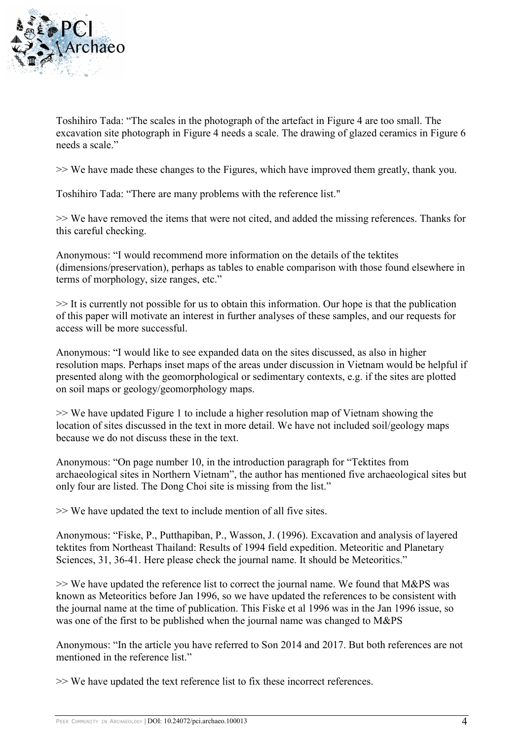

Toshihiro Tada: "The scales in the photograph of the artefact in Figure 4 are too small. The excavation site photograph in Figure 4 needs a scale. The drawing of glazed ceramics in Figure 6 needs a scale."

>> We have made these changes to the Figures, which have improved them greatly, thank you.

Toshihiro Tada: "There are many problems with the reference list."

>> We have removed the items that were not cited, and added the missing references. Thanks for this careful checking.

Anonymous: "I would recommend more information on the details of the tektites (dimensions/preservation), perhaps as tables to enable comparison with those found elsewhere in terms of morphology, size ranges, etc."

>> It is currently not possible for us to obtain this information. Our hope is that the publication of this paper will motivate an interest in further analyses of these samples, and our requests for access will be more successful.

Anonymous: "I would like to see expanded data on the sites discussed, as also in higher resolution maps. Perhaps inset maps of the areas under discussion in Vietnam would be helpful if presented along with the geomorphological or sedimentary contexts, e.g. if the sites are plotted on soil maps or geology/geomorphology maps.

>> We have updated Figure 1 to include a higher resolution map of Vietnam showing the location of sites discussed in the text in more detail. We have not included soil/geology maps because we do not discuss these in the text.

Anonymous: "On page number 10, in the introduction paragraph for "Tektites from archaeological sites in Northern Vietnam", the author has mentioned five archaeological sites but only four are listed. The Dong Choi site is missing from the list."

>> We have updated the text to include mention of all five sites.

Anonymous: "Fiske, P., Putthapiban, P., Wasson, J. (1996). Excavation and analysis of layered tektites from Northeast Thailand: Results of 1994 field expedition. Meteoritic and Planetary Sciences, 31, 36-41. Here please check the journal name. It should be Meteoritics."

>> We have updated the reference list to correct the journal name. We found that M&PS was known as Meteoritics before Jan 1996, so we have updated the references to be consistent with the journal name at the time of publication. This Fiske et al 1996 was in the Jan 1996 issue, so was one of the first to be published when the journal name was changed to M&PS

Anonymous: "In the article you have referred to Son 2014 and 2017. But both references are not mentioned in the reference list."

>> We have updated the text reference list to fix these incorrect references.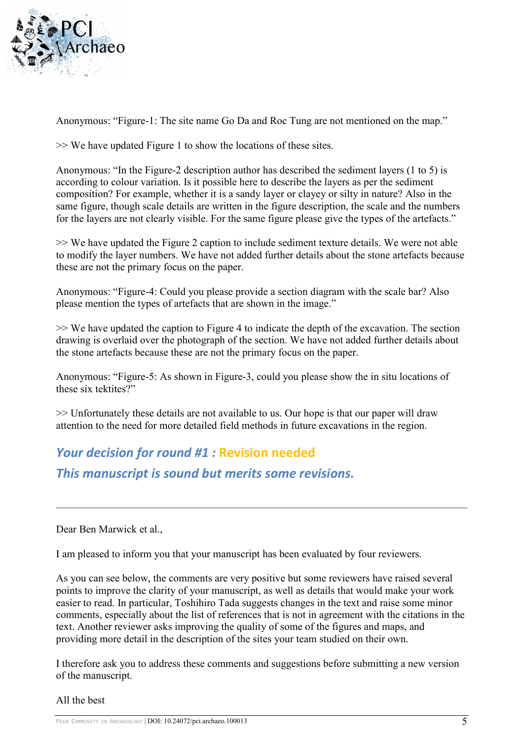

Anonymous: "Figure-1: The site name Go Da and Roc Tung are not mentioned on the map."

>> We have updated Figure 1 to show the locations of these sites.

Anonymous: "In the Figure-2 description author has described the sediment layers (1 to 5) is according to colour variation. Is it possible here to describe the layers as per the sediment composition? For example, whether it is a sandy layer or clayey or silty in nature? Also in the same figure, though scale details are written in the figure description, the scale and the numbers for the layers are not clearly visible. For the same figure please give the types of the artefacts."

>> We have updated the Figure 2 caption to include sediment texture details. We were not able to modify the layer numbers. We have not added further details about the stone artefacts because these are not the primary focus on the paper.

Anonymous: "Figure-4: Could you please provide a section diagram with the scale bar? Also please mention the types of artefacts that are shown in the image."

>> We have updated the caption to Figure 4 to indicate the depth of the excavation. The section drawing is overlaid over the photograph of the section. We have not added further details about the stone artefacts because these are not the primary focus on the paper.

Anonymous: "Figure-5: As shown in Figure-3, could you please show the in situ locations of these six tektites?"

>> Unfortunately these details are not available to us. Our hope is that our paper will draw attention to the need for more detailed field methods in future excavations in the region.

## *Your decision for round #1 :* **Revision needed**

*This manuscript is sound but merits some revisions.*

Dear Ben Marwick et al.,

I am pleased to inform you that your manuscript has been evaluated by four reviewers.

As you can see below, the comments are very positive but some reviewers have raised several points to improve the clarity of your manuscript, as well as details that would make your work easier to read. In particular, Toshihiro Tada suggests changes in the text and raise some minor comments, especially about the list of references that is not in agreement with the citations in the text. Another reviewer asks improving the quality of some of the figures and maps, and providing more detail in the description of the sites your team studied on their own.

I therefore ask you to address these comments and suggestions before submitting a new version of the manuscript.

All the best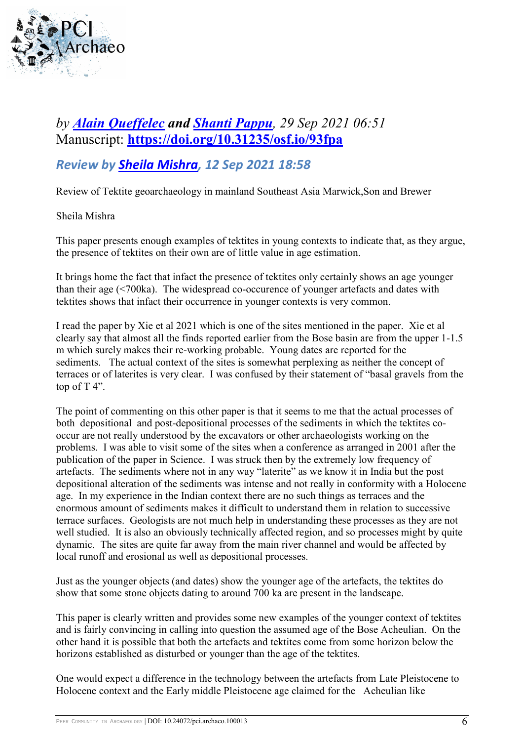

### *by [Alain Queffelec](https://archaeo.peercommunityin.org/public/user_public_page?userId=3) and [Shanti Pappu](https://archaeo.peercommunityin.org/public/user_public_page?userId=579), 29 Sep 2021 06:51* Manuscript: **<https://doi.org/10.31235/osf.io/93fpa>**

#### *Review by [Sheila Mishra,](https://archaeo.peercommunityin.org/public/user_public_page?userId=619) 12 Sep 2021 18:58*

Review of Tektite geoarchaeology in mainland Southeast Asia Marwick,Son and Brewer

Sheila Mishra

This paper presents enough examples of tektites in young contexts to indicate that, as they argue, the presence of tektites on their own are of little value in age estimation.

It brings home the fact that infact the presence of tektites only certainly shows an age younger than their age (<700ka). The widespread co-occurence of younger artefacts and dates with tektites shows that infact their occurrence in younger contexts is very common.

I read the paper by Xie et al 2021 which is one of the sites mentioned in the paper. Xie et al clearly say that almost all the finds reported earlier from the Bose basin are from the upper 1-1.5 m which surely makes their re-working probable. Young dates are reported for the sediments. The actual context of the sites is somewhat perplexing as neither the concept of terraces or of laterites is very clear. I was confused by their statement of "basal gravels from the top of  $T$  4".

The point of commenting on this other paper is that it seems to me that the actual processes of both depositional and post-depositional processes of the sediments in which the tektites cooccur are not really understood by the excavators or other archaeologists working on the problems. I was able to visit some of the sites when a conference as arranged in 2001 after the publication of the paper in Science. I was struck then by the extremely low frequency of artefacts. The sediments where not in any way "laterite" as we know it in India but the post depositional alteration of the sediments was intense and not really in conformity with a Holocene age. In my experience in the Indian context there are no such things as terraces and the enormous amount of sediments makes it difficult to understand them in relation to successive terrace surfaces. Geologists are not much help in understanding these processes as they are not well studied. It is also an obviously technically affected region, and so processes might by quite dynamic. The sites are quite far away from the main river channel and would be affected by local runoff and erosional as well as depositional processes.

Just as the younger objects (and dates) show the younger age of the artefacts, the tektites do show that some stone objects dating to around 700 ka are present in the landscape.

This paper is clearly written and provides some new examples of the younger context of tektites and is fairly convincing in calling into question the assumed age of the Bose Acheulian. On the other hand it is possible that both the artefacts and tektites come from some horizon below the horizons established as disturbed or younger than the age of the tektites.

One would expect a difference in the technology between the artefacts from Late Pleistocene to Holocene context and the Early middle Pleistocene age claimed for the Acheulian like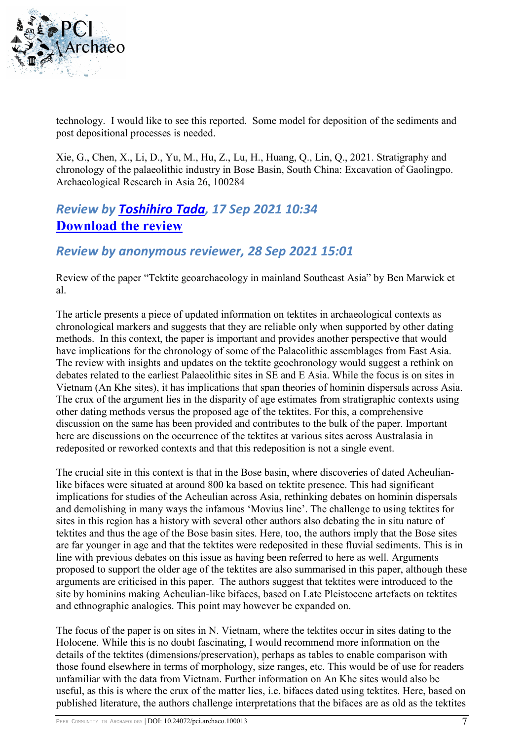

technology. I would like to see this reported. Some model for deposition of the sediments and post depositional processes is needed.

Xie, G., Chen, X., Li, D., Yu, M., Hu, Z., Lu, H., Huang, Q., Lin, Q., 2021. Stratigraphy and chronology of the palaeolithic industry in Bose Basin, South China: Excavation of Gaolingpo. Archaeological Research in Asia 26, 100284

#### *Review by [Toshihiro Tada,](https://archaeo.peercommunityin.org/public/user_public_page?userId=623) 17 Sep 2021 10:34* **[Download the review](https://archaeo.peercommunityin.org/download/t_reviews.review_pdf.ab4174bb4f371828.726576696577203231303931372e706466.pdf)**

#### *Review by anonymous reviewer, 28 Sep 2021 15:01*

Review of the paper "Tektite geoarchaeology in mainland Southeast Asia" by Ben Marwick et al.

The article presents a piece of updated information on tektites in archaeological contexts as chronological markers and suggests that they are reliable only when supported by other dating methods. In this context, the paper is important and provides another perspective that would have implications for the chronology of some of the Palaeolithic assemblages from East Asia. The review with insights and updates on the tektite geochronology would suggest a rethink on debates related to the earliest Palaeolithic sites in SE and E Asia. While the focus is on sites in Vietnam (An Khe sites), it has implications that span theories of hominin dispersals across Asia. The crux of the argument lies in the disparity of age estimates from stratigraphic contexts using other dating methods versus the proposed age of the tektites. For this, a comprehensive discussion on the same has been provided and contributes to the bulk of the paper. Important here are discussions on the occurrence of the tektites at various sites across Australasia in redeposited or reworked contexts and that this redeposition is not a single event.

The crucial site in this context is that in the Bose basin, where discoveries of dated Acheulianlike bifaces were situated at around 800 ka based on tektite presence. This had significant implications for studies of the Acheulian across Asia, rethinking debates on hominin dispersals and demolishing in many ways the infamous 'Movius line'. The challenge to using tektites for sites in this region has a history with several other authors also debating the in situ nature of tektites and thus the age of the Bose basin sites. Here, too, the authors imply that the Bose sites are far younger in age and that the tektites were redeposited in these fluvial sediments. This is in line with previous debates on this issue as having been referred to here as well. Arguments proposed to support the older age of the tektites are also summarised in this paper, although these arguments are criticised in this paper. The authors suggest that tektites were introduced to the site by hominins making Acheulian-like bifaces, based on Late Pleistocene artefacts on tektites and ethnographic analogies. This point may however be expanded on.

The focus of the paper is on sites in N. Vietnam, where the tektites occur in sites dating to the Holocene. While this is no doubt fascinating, I would recommend more information on the details of the tektites (dimensions/preservation), perhaps as tables to enable comparison with those found elsewhere in terms of morphology, size ranges, etc. This would be of use for readers unfamiliar with the data from Vietnam. Further information on An Khe sites would also be useful, as this is where the crux of the matter lies, i.e. bifaces dated using tektites. Here, based on published literature, the authors challenge interpretations that the bifaces are as old as the tektites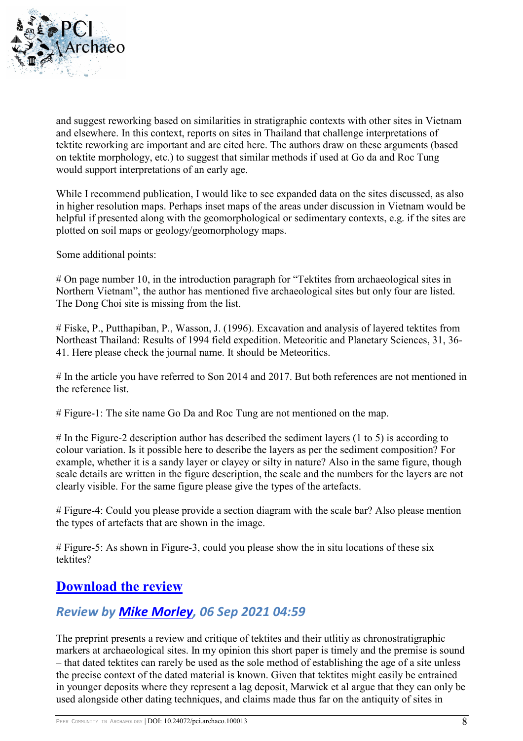

and suggest reworking based on similarities in stratigraphic contexts with other sites in Vietnam and elsewhere. In this context, reports on sites in Thailand that challenge interpretations of tektite reworking are important and are cited here. The authors draw on these arguments (based on tektite morphology, etc.) to suggest that similar methods if used at Go da and Roc Tung would support interpretations of an early age.

While I recommend publication, I would like to see expanded data on the sites discussed, as also in higher resolution maps. Perhaps inset maps of the areas under discussion in Vietnam would be helpful if presented along with the geomorphological or sedimentary contexts, e.g. if the sites are plotted on soil maps or geology/geomorphology maps.

Some additional points:

# On page number 10, in the introduction paragraph for "Tektites from archaeological sites in Northern Vietnam", the author has mentioned five archaeological sites but only four are listed. The Dong Choi site is missing from the list.

# Fiske, P., Putthapiban, P., Wasson, J. (1996). Excavation and analysis of layered tektites from Northeast Thailand: Results of 1994 field expedition. Meteoritic and Planetary Sciences, 31, 36- 41. Here please check the journal name. It should be Meteoritics.

# In the article you have referred to Son 2014 and 2017. But both references are not mentioned in the reference list.

# Figure-1: The site name Go Da and Roc Tung are not mentioned on the map.

# In the Figure-2 description author has described the sediment layers (1 to 5) is according to colour variation. Is it possible here to describe the layers as per the sediment composition? For example, whether it is a sandy layer or clayey or silty in nature? Also in the same figure, though scale details are written in the figure description, the scale and the numbers for the layers are not clearly visible. For the same figure please give the types of the artefacts.

# Figure-4: Could you please provide a section diagram with the scale bar? Also please mention the types of artefacts that are shown in the image.

# Figure-5: As shown in Figure-3, could you please show the in situ locations of these six tektites?

#### **[Download the review](https://archaeo.peercommunityin.org/download/t_reviews.review_pdf.a9b19a3c71ed3144.7265766965775f6a6f7368695f74656b74697465735f2e706466.pdf)**

#### *Review by [Mike Morley,](https://archaeo.peercommunityin.org/public/user_public_page?userId=639) 06 Sep 2021 04:59*

The preprint presents a review and critique of tektites and their utlitiy as chronostratigraphic markers at archaeological sites. In my opinion this short paper is timely and the premise is sound – that dated tektites can rarely be used as the sole method of establishing the age of a site unless the precise context of the dated material is known. Given that tektites might easily be entrained in younger deposits where they represent a lag deposit, Marwick et al argue that they can only be used alongside other dating techniques, and claims made thus far on the antiquity of sites in